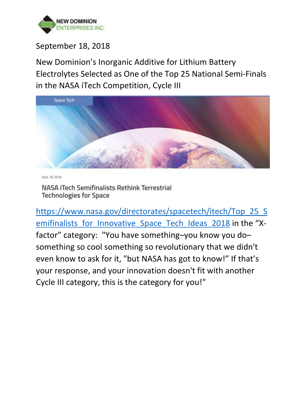

# September 18, 2018

New Dominion's Inorganic Additive for Lithium Battery Electrolytes Selected as One of the Top 25 National Semi-Finals in the NASA iTech Competition, Cycle III



Sept. 18, 2018

NASA iTech Semifinalists Rethink Terrestrial **Technologies for Space** 

[https://www.nasa.gov/directorates/spacetech/itech/Top\\_25\\_S](https://www.nasa.gov/directorates/spacetech/itech/Top_25_Semifinalists_for_Innovative_Space_Tech_Ideas_2018) emifinalists for Innovative Space Tech Ideas 2018 in the "Xfactor" category: "You have something–you know you do– something so cool something so revolutionary that we didn't even know to ask for it, "but NASA has got to know!" If that's your response, and your innovation doesn't fit with another Cycle III category, this is the category for you!"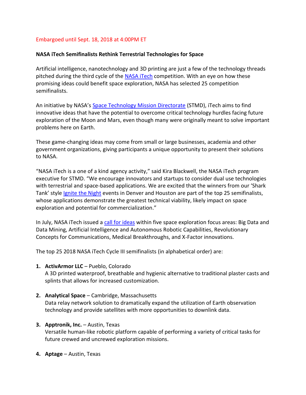## Embargoed until Sept. 18, 2018 at 4:00PM ET

#### **NASA iTech Semifinalists Rethink Terrestrial Technologies for Space**

Artificial intelligence, nanotechnology and 3D printing are just a few of the technology threads pitched during the third cycle of the [NASA iTech](https://nasaitech.com/) competition. With an eye on how these promising ideas could benefit space exploration, NASA has selected 25 competition semifinalists.

An initiative by NASA's [Space Technology Mission Directorate](http://nasa.gov/spacetech) (STMD), iTech aims to find innovative ideas that have the potential to overcome critical technology hurdles facing future exploration of the Moon and Mars, even though many were originally meant to solve important problems here on Earth.

These game-changing ideas may come from small or large businesses, academia and other government organizations, giving participants a unique opportunity to present their solutions to NASA.

"NASA iTech is a one of a kind agency activity," said Kira Blackwell, the NASA iTech program executive for STMD. "We encourage innovators and startups to consider dual use technologies with terrestrial and space-based applications. We are excited that the winners from our 'Shark Tank' style [Ignite the](https://nasaitech.com/ignite-the-night/#ignite-the-night-intro) Night events in Denver and Houston are part of the top 25 semifinalists, whose applications demonstrate the greatest technical viability, likely impact on space exploration and potential for commercialization."

In July, NASA iTech issued a [call for ideas](https://www.nasa.gov/feature/nasa-calls-for-future-space-exploration-ideas-in-itech-competition) within five space exploration focus areas: Big Data and Data Mining, Artificial Intelligence and Autonomous Robotic Capabilities, Revolutionary Concepts for Communications, Medical Breakthroughs, and X-Factor innovations.

The top 25 2018 NASA iTech Cycle III semifinalists (in alphabetical order) are:

**1. ActivArmor LLC** – Pueblo, Colorado

A 3D printed waterproof, breathable and hygienic alternative to traditional plaster casts and splints that allows for increased customization.

**2. Analytical Space** – Cambridge, Massachusetts Data relay network solution to dramatically expand the utilization of Earth observation technology and provide satellites with more opportunities to downlink data.

#### **3. Apptronik, Inc.** – Austin, Texas

Versatile human-like robotic platform capable of performing a variety of critical tasks for future crewed and uncrewed exploration missions.

**4. Aptage** – Austin, Texas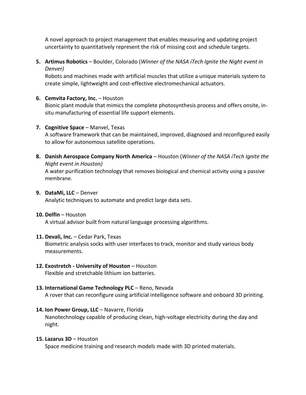A novel approach to project management that enables measuring and updating project uncertainty to quantitatively represent the risk of missing cost and schedule targets.

**5. Artimus Robotics** – Boulder, Colorado (*Winner of the NASA iTech Ignite the Night event in Denver)*

Robots and machines made with artificial muscles that utilize a unique materials system to create simple, lightweight and cost-effective electromechanical actuators.

### **6. Cemvita Factory, Inc.** – Houston

Bionic plant module that mimics the complete photosynthesis process and offers onsite, insitu manufacturing of essential life support elements.

#### **7. Cognitive Space** – Manvel, Texas

A software framework that can be maintained, improved, diagnosed and reconfigured easily to allow for autonomous satellite operations.

**8. Danish Aerospace Company North America** – Houston (*Winner of the NASA iTech Ignite the Night event in Houston)* A water purification technology that removes biological and chemical activity using a passive membrane.

#### **9. DataMi, LLC** – Denver

Analytic techniques to automate and predict large data sets.

#### **10. Delfin** – Houston

A virtual advisor built from natural language processing algorithms.

#### **11. Devali, Inc.** – Cedar Park, Texas

Biometric analysis socks with user interfaces to track, monitor and study various body measurements.

#### **12. Exostretch - University of Houston** – Houston Flexible and stretchable lithium ion batteries.

# **13. International Game Technology PLC** – Reno, Nevada

A rover that can reconfigure using artificial intelligence software and onboard 3D printing.

#### **14. Ion Power Group, LLC** – Navarre, Florida

Nanotechnology capable of producing clean, high-voltage electricity during the day and night.

#### **15. Lazarus 3D** – Houston

Space medicine training and research models made with 3D printed materials.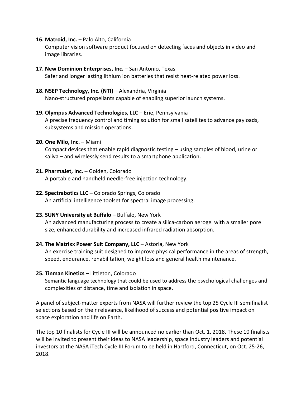#### **16. Matroid, Inc.** – Palo Alto, California

Computer vision software product focused on detecting faces and objects in video and image libraries.

- **17. New Dominion Enterprises, Inc.** San Antonio, Texas Safer and longer lasting lithium ion batteries that resist heat-related power loss.
- **18. NSEP Technology, Inc. (NTI)** Alexandria, Virginia

Nano-structured propellants capable of enabling superior launch systems.

#### **19. Olympus Advanced Technologies, LLC** – Erie, Pennsylvania

A precise frequency control and timing solution for small satellites to advance payloads, subsystems and mission operations.

#### **20. One Milo, Inc.** – Miami

Compact devices that enable rapid diagnostic testing – using samples of blood, urine or saliva – and wirelessly send results to a smartphone application.

#### **21. PharmaJet, Inc.** – Golden, Colorado

A portable and handheld needle-free injection technology.

#### **22. Spectrabotics LLC** – Colorado Springs, Colorado

An artificial intelligence toolset for spectral image processing.

#### **23. SUNY University at Buffalo** – Buffalo, New York

An advanced manufacturing process to create a silica-carbon aerogel with a smaller pore size, enhanced durability and increased infrared radiation absorption.

#### **24. The Matrixx Power Suit Company, LLC** – Astoria, New York

An exercise training suit designed to improve physical performance in the areas of strength, speed, endurance, rehabilitation, weight loss and general health maintenance.

#### **25. Tinman Kinetics** – Littleton, Colorado

Semantic language technology that could be used to address the psychological challenges and complexities of distance, time and isolation in space.

A panel of subject-matter experts from NASA will further review the top 25 Cycle III semifinalist selections based on their relevance, likelihood of success and potential positive impact on space exploration and life on Earth.

The top 10 finalists for Cycle III will be announced no earlier than Oct. 1, 2018. These 10 finalists will be invited to present their ideas to NASA leadership, space industry leaders and potential investors at the NASA iTech Cycle III Forum to be held in Hartford, Connecticut, on Oct. 25-26, 2018.